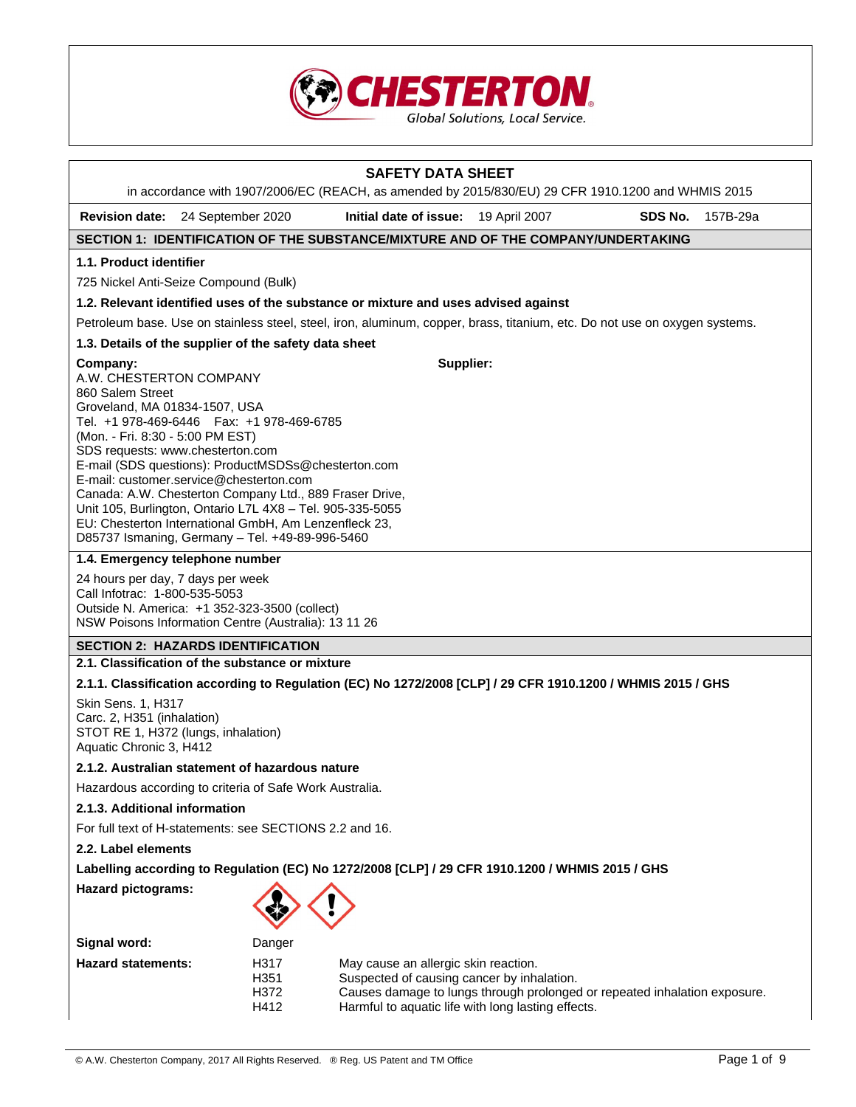

|                                                                                                                                                                                                                                                                                                                                                                                                                                                                                                                 | in accordance with 1907/2006/EC (REACH, as amended by 2015/830/EU) 29 CFR 1910.1200 and WHMIS 2015                         | <b>SAFETY DATA SHEET</b>                                                                                                                                                                                              |  |         |          |
|-----------------------------------------------------------------------------------------------------------------------------------------------------------------------------------------------------------------------------------------------------------------------------------------------------------------------------------------------------------------------------------------------------------------------------------------------------------------------------------------------------------------|----------------------------------------------------------------------------------------------------------------------------|-----------------------------------------------------------------------------------------------------------------------------------------------------------------------------------------------------------------------|--|---------|----------|
|                                                                                                                                                                                                                                                                                                                                                                                                                                                                                                                 | Revision date: 24 September 2020                                                                                           | Initial date of issue: 19 April 2007                                                                                                                                                                                  |  | SDS No. | 157B-29a |
|                                                                                                                                                                                                                                                                                                                                                                                                                                                                                                                 | SECTION 1: IDENTIFICATION OF THE SUBSTANCE/MIXTURE AND OF THE COMPANY/UNDERTAKING                                          |                                                                                                                                                                                                                       |  |         |          |
| 1.1. Product identifier                                                                                                                                                                                                                                                                                                                                                                                                                                                                                         |                                                                                                                            |                                                                                                                                                                                                                       |  |         |          |
|                                                                                                                                                                                                                                                                                                                                                                                                                                                                                                                 | 725 Nickel Anti-Seize Compound (Bulk)                                                                                      |                                                                                                                                                                                                                       |  |         |          |
|                                                                                                                                                                                                                                                                                                                                                                                                                                                                                                                 | 1.2. Relevant identified uses of the substance or mixture and uses advised against                                         |                                                                                                                                                                                                                       |  |         |          |
|                                                                                                                                                                                                                                                                                                                                                                                                                                                                                                                 | Petroleum base. Use on stainless steel, steel, iron, aluminum, copper, brass, titanium, etc. Do not use on oxygen systems. |                                                                                                                                                                                                                       |  |         |          |
|                                                                                                                                                                                                                                                                                                                                                                                                                                                                                                                 | 1.3. Details of the supplier of the safety data sheet                                                                      |                                                                                                                                                                                                                       |  |         |          |
| Supplier:<br>Company:<br>A.W. CHESTERTON COMPANY<br>860 Salem Street<br>Groveland, MA 01834-1507, USA<br>Tel. +1 978-469-6446   Fax: +1 978-469-6785<br>(Mon. - Fri. 8:30 - 5:00 PM EST)<br>SDS requests: www.chesterton.com<br>E-mail (SDS questions): ProductMSDSs@chesterton.com<br>E-mail: customer.service@chesterton.com<br>Canada: A.W. Chesterton Company Ltd., 889 Fraser Drive,<br>Unit 105, Burlington, Ontario L7L 4X8 - Tel. 905-335-5055<br>EU: Chesterton International GmbH, Am Lenzenfleck 23, |                                                                                                                            |                                                                                                                                                                                                                       |  |         |          |
|                                                                                                                                                                                                                                                                                                                                                                                                                                                                                                                 | D85737 Ismaning, Germany - Tel. +49-89-996-5460                                                                            |                                                                                                                                                                                                                       |  |         |          |
| 1.4. Emergency telephone number<br>24 hours per day, 7 days per week<br>Call Infotrac: 1-800-535-5053<br>Outside N. America: +1 352-323-3500 (collect)<br>NSW Poisons Information Centre (Australia): 13 11 26                                                                                                                                                                                                                                                                                                  |                                                                                                                            |                                                                                                                                                                                                                       |  |         |          |
|                                                                                                                                                                                                                                                                                                                                                                                                                                                                                                                 | <b>SECTION 2: HAZARDS IDENTIFICATION</b>                                                                                   |                                                                                                                                                                                                                       |  |         |          |
|                                                                                                                                                                                                                                                                                                                                                                                                                                                                                                                 | 2.1. Classification of the substance or mixture                                                                            |                                                                                                                                                                                                                       |  |         |          |
| 2.1.1. Classification according to Regulation (EC) No 1272/2008 [CLP] / 29 CFR 1910.1200 / WHMIS 2015 / GHS<br><b>Skin Sens. 1, H317</b><br>Carc. 2, H351 (inhalation)<br>STOT RE 1, H372 (lungs, inhalation)<br>Aquatic Chronic 3, H412                                                                                                                                                                                                                                                                        |                                                                                                                            |                                                                                                                                                                                                                       |  |         |          |
|                                                                                                                                                                                                                                                                                                                                                                                                                                                                                                                 | 2.1.2. Australian statement of hazardous nature                                                                            |                                                                                                                                                                                                                       |  |         |          |
|                                                                                                                                                                                                                                                                                                                                                                                                                                                                                                                 | Hazardous according to criteria of Safe Work Australia.                                                                    |                                                                                                                                                                                                                       |  |         |          |
| 2.1.3. Additional information                                                                                                                                                                                                                                                                                                                                                                                                                                                                                   |                                                                                                                            |                                                                                                                                                                                                                       |  |         |          |
| For full text of H-statements: see SECTIONS 2.2 and 16.                                                                                                                                                                                                                                                                                                                                                                                                                                                         |                                                                                                                            |                                                                                                                                                                                                                       |  |         |          |
| 2.2. Label elements                                                                                                                                                                                                                                                                                                                                                                                                                                                                                             |                                                                                                                            |                                                                                                                                                                                                                       |  |         |          |
| Labelling according to Regulation (EC) No 1272/2008 [CLP] / 29 CFR 1910.1200 / WHMIS 2015 / GHS                                                                                                                                                                                                                                                                                                                                                                                                                 |                                                                                                                            |                                                                                                                                                                                                                       |  |         |          |
|                                                                                                                                                                                                                                                                                                                                                                                                                                                                                                                 | <b>Hazard pictograms:</b>                                                                                                  |                                                                                                                                                                                                                       |  |         |          |
| Signal word:                                                                                                                                                                                                                                                                                                                                                                                                                                                                                                    | Danger                                                                                                                     |                                                                                                                                                                                                                       |  |         |          |
| <b>Hazard statements:</b>                                                                                                                                                                                                                                                                                                                                                                                                                                                                                       | H317<br>H351<br>H372<br>H412                                                                                               | May cause an allergic skin reaction.<br>Suspected of causing cancer by inhalation.<br>Causes damage to lungs through prolonged or repeated inhalation exposure.<br>Harmful to aquatic life with long lasting effects. |  |         |          |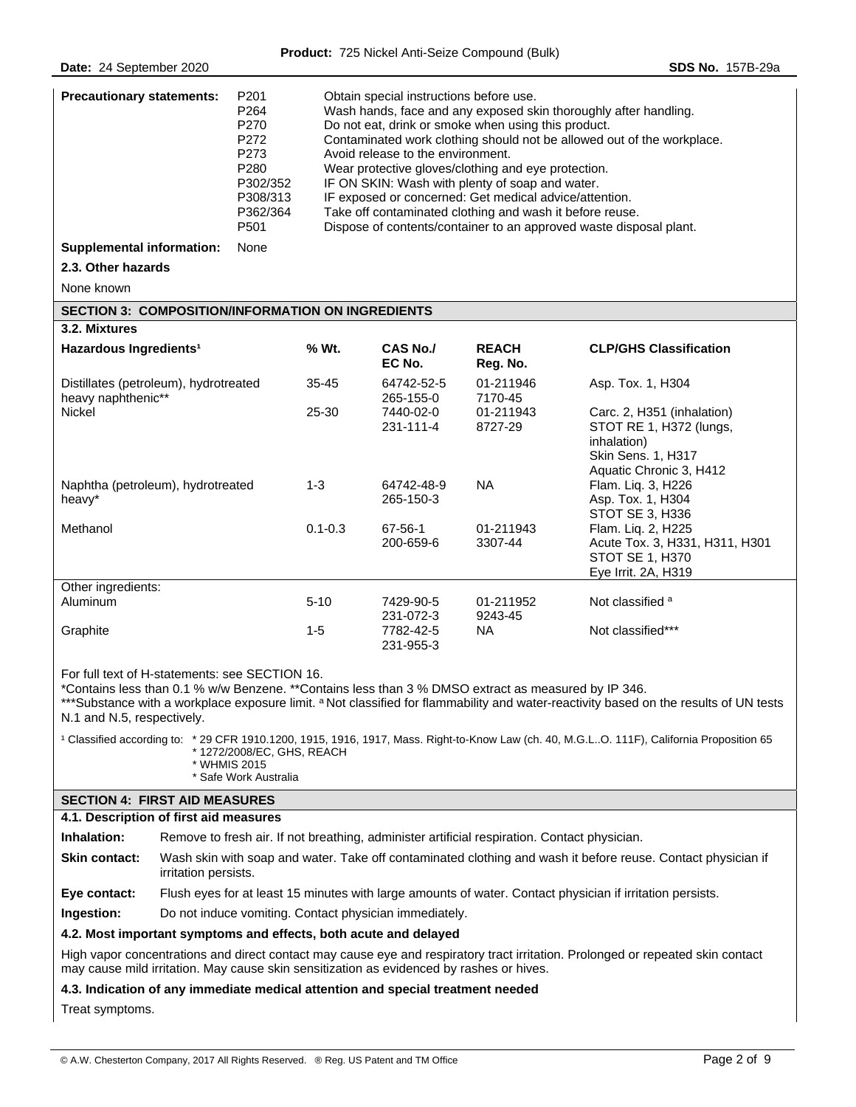| <b>Precautionary statements:</b> | P <sub>201</sub><br>P <sub>264</sub><br>P <sub>270</sub><br>P272<br>P273<br>P280<br>P302/352<br>P308/313<br>P362/364<br>P501 | Obtain special instructions before use.<br>Wash hands, face and any exposed skin thoroughly after handling.<br>Do not eat, drink or smoke when using this product.<br>Contaminated work clothing should not be allowed out of the workplace.<br>Avoid release to the environment.<br>Wear protective gloves/clothing and eye protection.<br>IF ON SKIN: Wash with plenty of soap and water.<br>IF exposed or concerned: Get medical advice/attention.<br>Take off contaminated clothing and wash it before reuse.<br>Dispose of contents/container to an approved waste disposal plant. |
|----------------------------------|------------------------------------------------------------------------------------------------------------------------------|-----------------------------------------------------------------------------------------------------------------------------------------------------------------------------------------------------------------------------------------------------------------------------------------------------------------------------------------------------------------------------------------------------------------------------------------------------------------------------------------------------------------------------------------------------------------------------------------|
| Supplemental information:        | None                                                                                                                         |                                                                                                                                                                                                                                                                                                                                                                                                                                                                                                                                                                                         |

#### **2.3. Other hazards**

None known

## **SECTION 3: COMPOSITION/INFORMATION ON INGREDIENTS**

| 3.2. Mixtures                                               |             |                           |                          |                                                                                                                              |
|-------------------------------------------------------------|-------------|---------------------------|--------------------------|------------------------------------------------------------------------------------------------------------------------------|
| Hazardous Ingredients <sup>1</sup>                          | % Wt.       | <b>CAS No./</b><br>EC No. | <b>REACH</b><br>Reg. No. | <b>CLP/GHS Classification</b>                                                                                                |
| Distillates (petroleum), hydrotreated<br>heavy naphthenic** | $35 - 45$   | 64742-52-5<br>265-155-0   | 01-211946<br>7170-45     | Asp. Tox. 1, H304                                                                                                            |
| Nickel                                                      | 25-30       | 7440-02-0<br>231-111-4    | 01-211943<br>8727-29     | Carc. 2, H351 (inhalation)<br>STOT RE 1, H372 (lungs,<br>inhalation)<br><b>Skin Sens. 1, H317</b><br>Aquatic Chronic 3, H412 |
| Naphtha (petroleum), hydrotreated<br>heavy*                 | $1 - 3$     | 64742-48-9<br>265-150-3   | NA.                      | Flam. Lig. 3, H226<br>Asp. Tox. 1, H304<br>STOT SE 3, H336                                                                   |
| Methanol                                                    | $0.1 - 0.3$ | 67-56-1<br>200-659-6      | 01-211943<br>3307-44     | Flam. Lig. 2, H225<br>Acute Tox. 3, H331, H311, H301<br>STOT SE 1, H370<br>Eye Irrit. 2A, H319                               |
| Other ingredients:                                          |             |                           |                          |                                                                                                                              |
| <b>Aluminum</b>                                             | $5 - 10$    | 7429-90-5<br>231-072-3    | 01-211952<br>9243-45     | Not classified <sup>a</sup>                                                                                                  |
| Graphite                                                    | $1 - 5$     | 7782-42-5<br>231-955-3    | NA.                      | Not classified***                                                                                                            |

For full text of H-statements: see SECTION 16.

\*Contains less than 0.1 % w/w Benzene. \*\*Contains less than 3 % DMSO extract as measured by IP 346.

\*\*\*Substance with a workplace exposure limit. <sup>a</sup> Not classified for flammability and water-reactivity based on the results of UN tests N.1 and N.5, respectively.

| <sup>1</sup> Classified according to: *29 CFR 1910.1200, 1915, 1916, 1917, Mass. Right-to-Know Law (ch. 40, M.G.L.,O. 111F), California Proposition 65 |
|--------------------------------------------------------------------------------------------------------------------------------------------------------|
| * 1272/2008/EC, GHS, REACH                                                                                                                             |
| * WHMIS 2015                                                                                                                                           |
| * Safe Work Australia                                                                                                                                  |

## **SECTION 4: FIRST AID MEASURES**

## **4.1. Description of first aid measures**

| Inhalation:          | Remove to fresh air. If not breathing, administer artificial respiration. Contact physician.                                         |
|----------------------|--------------------------------------------------------------------------------------------------------------------------------------|
| <b>Skin contact:</b> | Wash skin with soap and water. Take off contaminated clothing and wash it before reuse. Contact physician if<br>irritation persists. |
| Eye contact:         | Flush eyes for at least 15 minutes with large amounts of water. Contact physician if irritation persists.                            |

**Ingestion:** Do not induce vomiting. Contact physician immediately.

## **4.2. Most important symptoms and effects, both acute and delayed**

High vapor concentrations and direct contact may cause eye and respiratory tract irritation. Prolonged or repeated skin contact may cause mild irritation. May cause skin sensitization as evidenced by rashes or hives.

# **4.3. Indication of any immediate medical attention and special treatment needed**

Treat symptoms.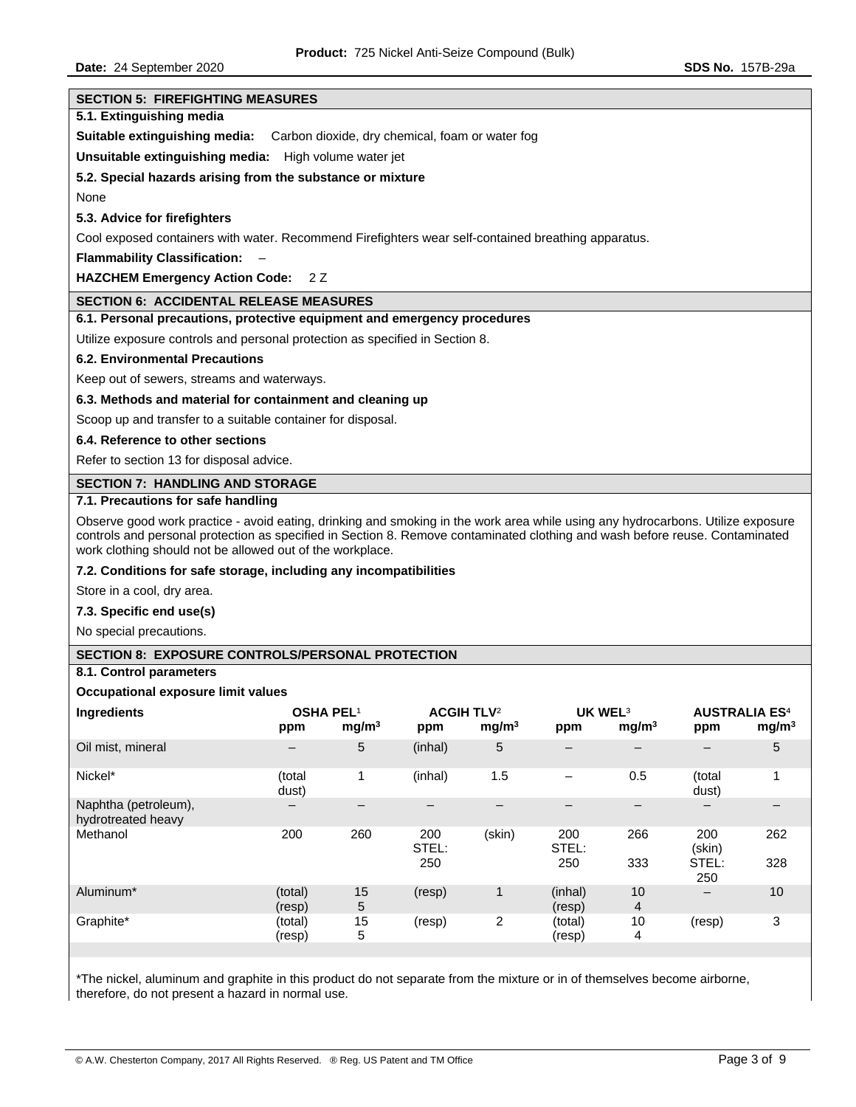| <b>SECTION 5: FIREFIGHTING MEASURES</b>                                                                                                                                                                                                                                                                                      |                          |                   |                   |                                                 |                          |                          |                          |                          |
|------------------------------------------------------------------------------------------------------------------------------------------------------------------------------------------------------------------------------------------------------------------------------------------------------------------------------|--------------------------|-------------------|-------------------|-------------------------------------------------|--------------------------|--------------------------|--------------------------|--------------------------|
| 5.1. Extinguishing media                                                                                                                                                                                                                                                                                                     |                          |                   |                   |                                                 |                          |                          |                          |                          |
| Suitable extinguishing media:                                                                                                                                                                                                                                                                                                |                          |                   |                   | Carbon dioxide, dry chemical, foam or water fog |                          |                          |                          |                          |
| <b>Unsuitable extinguishing media:</b> High volume water jet                                                                                                                                                                                                                                                                 |                          |                   |                   |                                                 |                          |                          |                          |                          |
| 5.2. Special hazards arising from the substance or mixture                                                                                                                                                                                                                                                                   |                          |                   |                   |                                                 |                          |                          |                          |                          |
| None                                                                                                                                                                                                                                                                                                                         |                          |                   |                   |                                                 |                          |                          |                          |                          |
|                                                                                                                                                                                                                                                                                                                              |                          |                   |                   |                                                 |                          |                          |                          |                          |
| 5.3. Advice for firefighters                                                                                                                                                                                                                                                                                                 |                          |                   |                   |                                                 |                          |                          |                          |                          |
| Cool exposed containers with water. Recommend Firefighters wear self-contained breathing apparatus.                                                                                                                                                                                                                          |                          |                   |                   |                                                 |                          |                          |                          |                          |
| <b>Flammability Classification:</b>                                                                                                                                                                                                                                                                                          |                          |                   |                   |                                                 |                          |                          |                          |                          |
| <b>HAZCHEM Emergency Action Code:</b>                                                                                                                                                                                                                                                                                        | 2Z                       |                   |                   |                                                 |                          |                          |                          |                          |
| <b>SECTION 6: ACCIDENTAL RELEASE MEASURES</b>                                                                                                                                                                                                                                                                                |                          |                   |                   |                                                 |                          |                          |                          |                          |
| 6.1. Personal precautions, protective equipment and emergency procedures                                                                                                                                                                                                                                                     |                          |                   |                   |                                                 |                          |                          |                          |                          |
| Utilize exposure controls and personal protection as specified in Section 8.                                                                                                                                                                                                                                                 |                          |                   |                   |                                                 |                          |                          |                          |                          |
| <b>6.2. Environmental Precautions</b>                                                                                                                                                                                                                                                                                        |                          |                   |                   |                                                 |                          |                          |                          |                          |
| Keep out of sewers, streams and waterways.                                                                                                                                                                                                                                                                                   |                          |                   |                   |                                                 |                          |                          |                          |                          |
| 6.3. Methods and material for containment and cleaning up                                                                                                                                                                                                                                                                    |                          |                   |                   |                                                 |                          |                          |                          |                          |
| Scoop up and transfer to a suitable container for disposal.                                                                                                                                                                                                                                                                  |                          |                   |                   |                                                 |                          |                          |                          |                          |
| 6.4. Reference to other sections                                                                                                                                                                                                                                                                                             |                          |                   |                   |                                                 |                          |                          |                          |                          |
| Refer to section 13 for disposal advice.                                                                                                                                                                                                                                                                                     |                          |                   |                   |                                                 |                          |                          |                          |                          |
| <b>SECTION 7: HANDLING AND STORAGE</b>                                                                                                                                                                                                                                                                                       |                          |                   |                   |                                                 |                          |                          |                          |                          |
| 7.1. Precautions for safe handling                                                                                                                                                                                                                                                                                           |                          |                   |                   |                                                 |                          |                          |                          |                          |
| Observe good work practice - avoid eating, drinking and smoking in the work area while using any hydrocarbons. Utilize exposure<br>controls and personal protection as specified in Section 8. Remove contaminated clothing and wash before reuse. Contaminated<br>work clothing should not be allowed out of the workplace. |                          |                   |                   |                                                 |                          |                          |                          |                          |
| 7.2. Conditions for safe storage, including any incompatibilities                                                                                                                                                                                                                                                            |                          |                   |                   |                                                 |                          |                          |                          |                          |
| Store in a cool, dry area.                                                                                                                                                                                                                                                                                                   |                          |                   |                   |                                                 |                          |                          |                          |                          |
| 7.3. Specific end use(s)                                                                                                                                                                                                                                                                                                     |                          |                   |                   |                                                 |                          |                          |                          |                          |
| No special precautions.                                                                                                                                                                                                                                                                                                      |                          |                   |                   |                                                 |                          |                          |                          |                          |
| <b>SECTION 8: EXPOSURE CONTROLS/PERSONAL PROTECTION</b>                                                                                                                                                                                                                                                                      |                          |                   |                   |                                                 |                          |                          |                          |                          |
| 8.1. Control parameters                                                                                                                                                                                                                                                                                                      |                          |                   |                   |                                                 |                          |                          |                          |                          |
| Occupational exposure limit values                                                                                                                                                                                                                                                                                           |                          |                   |                   |                                                 |                          |                          |                          |                          |
| Ingredients                                                                                                                                                                                                                                                                                                                  |                          | <b>OSHA PEL1</b>  |                   | <b>ACGIH TLV<sup>2</sup></b>                    | UK WEL <sup>3</sup>      |                          |                          | <b>AUSTRALIA ES4</b>     |
|                                                                                                                                                                                                                                                                                                                              | ppm                      | mg/m <sup>3</sup> | ppm               | mg/m <sup>3</sup>                               | ppm                      | mg/m <sup>3</sup>        | ppm                      | mg/m <sup>3</sup>        |
| Oil mist, mineral                                                                                                                                                                                                                                                                                                            | $\qquad \qquad -$        | 5                 | (inhal)           | 5                                               | $\overline{\phantom{0}}$ | $-$                      | $\overline{\phantom{0}}$ | 5                        |
| Nickel*                                                                                                                                                                                                                                                                                                                      | (total<br>dust)          | $\mathbf 1$       | (inhal)           | 1.5                                             | -                        | 0.5                      | (total<br>dust)          | 1                        |
| Naphtha (petroleum),                                                                                                                                                                                                                                                                                                         | $\overline{\phantom{a}}$ | $\qquad \qquad -$ | $\qquad \qquad -$ | $\qquad \qquad -$                               | $\overline{\phantom{0}}$ | $\overline{\phantom{m}}$ | $-$                      | $\overline{\phantom{0}}$ |
| hydrotreated heavy<br>Methanol                                                                                                                                                                                                                                                                                               | 200                      | 260               | 200               | (skin)                                          | 200                      | 266                      | 200                      | 262                      |
|                                                                                                                                                                                                                                                                                                                              |                          |                   | STEL:<br>250      |                                                 | STEL:<br>250             | 333                      | (skin)<br>STEL:<br>250   | 328                      |
| Aluminum*                                                                                                                                                                                                                                                                                                                    | (total)<br>(resp)        | 15<br>5           | (resp)            | $\mathbf{1}$                                    | (inhal)<br>(resp)        | 10<br>$\overline{4}$     | $-$                      | 10                       |
| Graphite*                                                                                                                                                                                                                                                                                                                    | (total)<br>(resp)        | 15<br>5           | (resp)            | $\overline{c}$                                  | (total)<br>(resp)        | 10<br>4                  | (resp)                   | 3                        |
|                                                                                                                                                                                                                                                                                                                              |                          |                   |                   |                                                 |                          |                          |                          |                          |

\*The nickel, aluminum and graphite in this product do not separate from the mixture or in of themselves become airborne, therefore, do not present a hazard in normal use.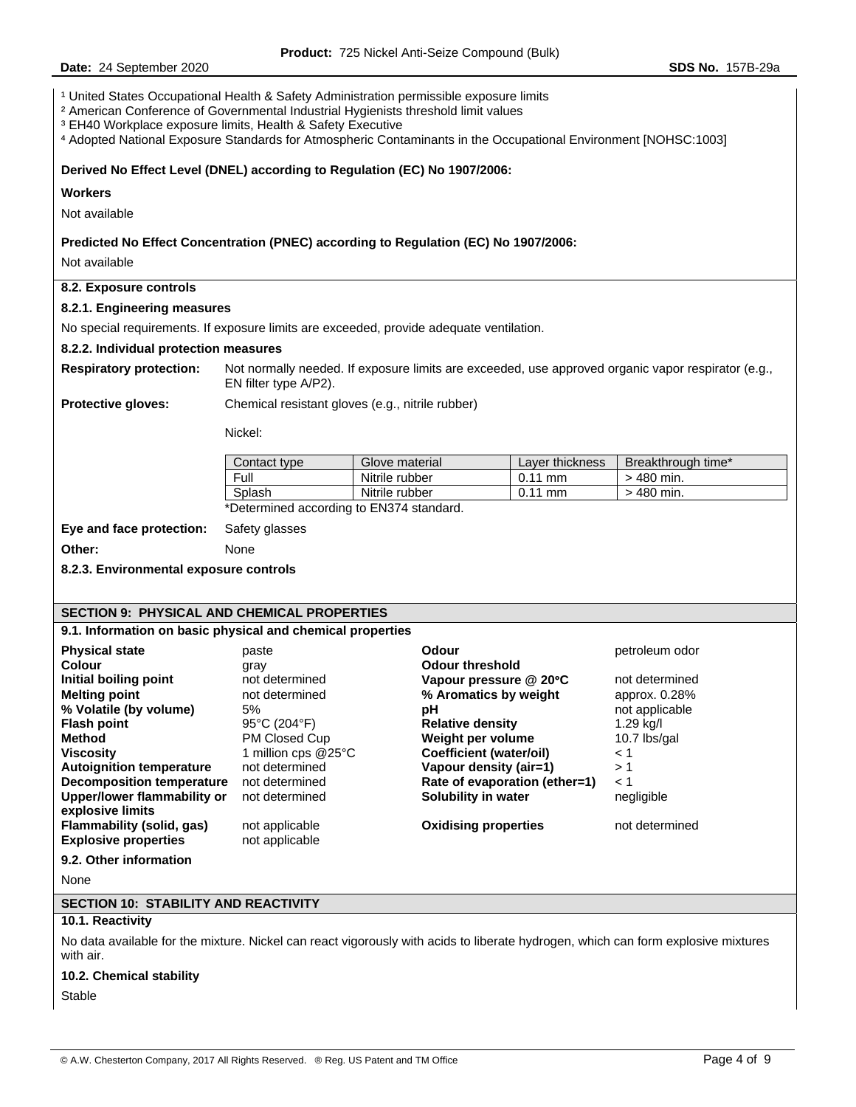**Date:** 24 September 2020 **SDS No.** 157B-29a <sup>1</sup> United States Occupational Health & Safety Administration permissible exposure limits ² American Conference of Governmental Industrial Hygienists threshold limit values ³ EH40 Workplace exposure limits, Health & Safety Executive ⁴ Adopted National Exposure Standards for Atmospheric Contaminants in the Occupational Environment [NOHSC:1003] **Derived No Effect Level (DNEL) according to Regulation (EC) No 1907/2006: Workers**  Not available **Predicted No Effect Concentration (PNEC) according to Regulation (EC) No 1907/2006:**  Not available **8.2. Exposure controls 8.2.1. Engineering measures**  No special requirements. If exposure limits are exceeded, provide adequate ventilation. **8.2.2. Individual protection measures Respiratory protection:** Not normally needed. If exposure limits are exceeded, use approved organic vapor respirator (e.g., EN filter type A/P2). **Protective gloves:** Chemical resistant gloves (e.g., nitrile rubber) Nickel: Contact type Glove material Layer thickness Breakthrough time\* Full Nitrile rubber 0.11 mm > 480 min.<br>Splash Nitrile rubber 0.11 mm > 480 min. Splash Nitrile rubber 10.11 mm \*Determined according to EN374 standard. **Eye and face protection:** Safety glasses **Other:** None **8.2.3. Environmental exposure controls SECTION 9: PHYSICAL AND CHEMICAL PROPERTIES 9.1. Information on basic physical and chemical properties Physical state paste CODOUT COLOREY <b>Odour COLOREY Physical state petroleum odor Colour 19 Colour threshold**<br> **Colour threshold**<br> **Colour pressure in the Colour of Science Colour System**<br> **Colour pressure** in the colong point of the colong pressure in the colong point of the colong pressure in the col **Initial boiling point** not determined **Vapour pressure @ 20**°**C** not determined **Melting point 1.28% not determined <b>8.45 Melting point approx. 0.28% % Volatile (by volume)** 5% **pH** not applicable **Flash point** 95°C (204°F) **Relative density** 1.29 kg/l **Method** PM Closed Cup **Weight per volume** 10.7 lbs/gal **Viscosity** 1 million cps @25°C **Coefficient (water/oil)** < 1 **Autoignition temperature** not determined **Vapour density (air=1)** > 1 **Decomposition temperature** not determined **Rate of evaporation (ether=1)**  $\leq$  1 **Upper/lower flammability or explosive limits**  not determined **Solubility in water** negligible **Flammability (solid, gas)** not applicable **Oxidising properties** not determined **Explosive properties** not applicable **9.2. Other information**  None **SECTION 10: STABILITY AND REACTIVITY 10.1. Reactivity**  No data available for the mixture. Nickel can react vigorously with acids to liberate hydrogen, which can form explosive mixtures with air.

**10.2. Chemical stability** 

Stable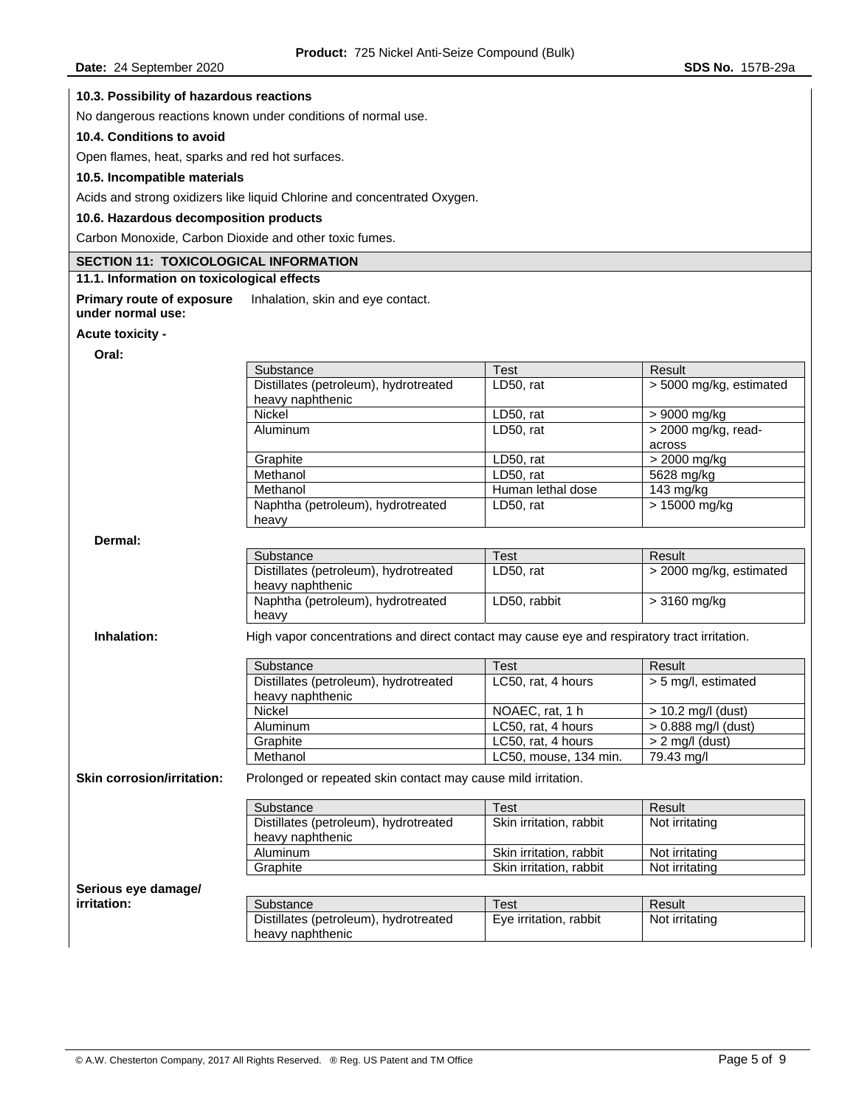## **10.3. Possibility of hazardous reactions**

No dangerous reactions known under conditions of normal use.

# **10.4. Conditions to avoid**

Open flames, heat, sparks and red hot surfaces.

## **10.5. Incompatible materials**

Acids and strong oxidizers like liquid Chlorine and concentrated Oxygen.

## **10.6. Hazardous decomposition products**

Carbon Monoxide, Carbon Dioxide and other toxic fumes.

## **SECTION 11: TOXICOLOGICAL INFORMATION**

# **11.1. Information on toxicological effects**

**Primary route of exposure under normal use:**  Inhalation, skin and eye contact.

#### **Acute toxicity -**

**Oral:** 

| Oral:                             |                                                                                              |                         |                         |
|-----------------------------------|----------------------------------------------------------------------------------------------|-------------------------|-------------------------|
|                                   | Substance                                                                                    | <b>Test</b>             | Result                  |
|                                   | Distillates (petroleum), hydrotreated                                                        | LD50, rat               | > 5000 mg/kg, estimated |
|                                   | heavy naphthenic                                                                             |                         |                         |
|                                   | Nickel                                                                                       | LD50, rat               | > 9000 mg/kg            |
|                                   | Aluminum                                                                                     | LD50, rat               | > 2000 mg/kg, read-     |
|                                   |                                                                                              |                         | across                  |
|                                   | Graphite                                                                                     | LD50, rat               | $>$ 2000 mg/kg          |
|                                   | Methanol                                                                                     | LD50, rat               | 5628 mg/kg              |
|                                   | Methanol                                                                                     | Human lethal dose       | 143 mg/kg               |
|                                   | Naphtha (petroleum), hydrotreated<br>heavy                                                   | LD50, rat               | $>15000$ mg/kg          |
| Dermal:                           |                                                                                              |                         |                         |
|                                   | Substance                                                                                    | <b>Test</b>             | Result                  |
|                                   | Distillates (petroleum), hydrotreated<br>heavy naphthenic                                    | LD50, rat               | > 2000 mg/kg, estimated |
|                                   | Naphtha (petroleum), hydrotreated<br>heavy                                                   | LD50, rabbit            | > 3160 mg/kg            |
| Inhalation:                       | High vapor concentrations and direct contact may cause eye and respiratory tract irritation. |                         |                         |
|                                   | Substance                                                                                    | <b>Test</b>             | Result                  |
|                                   | Distillates (petroleum), hydrotreated<br>heavy naphthenic                                    | LC50, rat, 4 hours      | > 5 mg/l, estimated     |
|                                   | Nickel                                                                                       | NOAEC, rat, 1 h         | $>$ 10.2 mg/l (dust)    |
|                                   | Aluminum                                                                                     | LC50, rat, 4 hours      | > 0.888 mg/l (dust)     |
|                                   | Graphite                                                                                     | LC50, rat, 4 hours      | $> 2$ mg/l (dust)       |
|                                   | Methanol                                                                                     | LC50, mouse, 134 min.   | 79.43 mg/l              |
| <b>Skin corrosion/irritation:</b> | Prolonged or repeated skin contact may cause mild irritation.                                |                         |                         |
|                                   | Substance                                                                                    | <b>Test</b>             | Result                  |
|                                   | Distillates (petroleum), hydrotreated<br>heavy naphthenic                                    | Skin irritation, rabbit | Not irritating          |
|                                   | Aluminum                                                                                     | Skin irritation, rabbit | Not irritating          |
|                                   | Graphite                                                                                     | Skin irritation, rabbit | Not irritating          |
| Serious eye damage/               |                                                                                              |                         |                         |
| irritation:                       | Substance                                                                                    | <b>Test</b>             | Result                  |
|                                   | Distillates (petroleum), hydrotreated<br>heavy naphthenic                                    | Eye irritation, rabbit  | Not irritating          |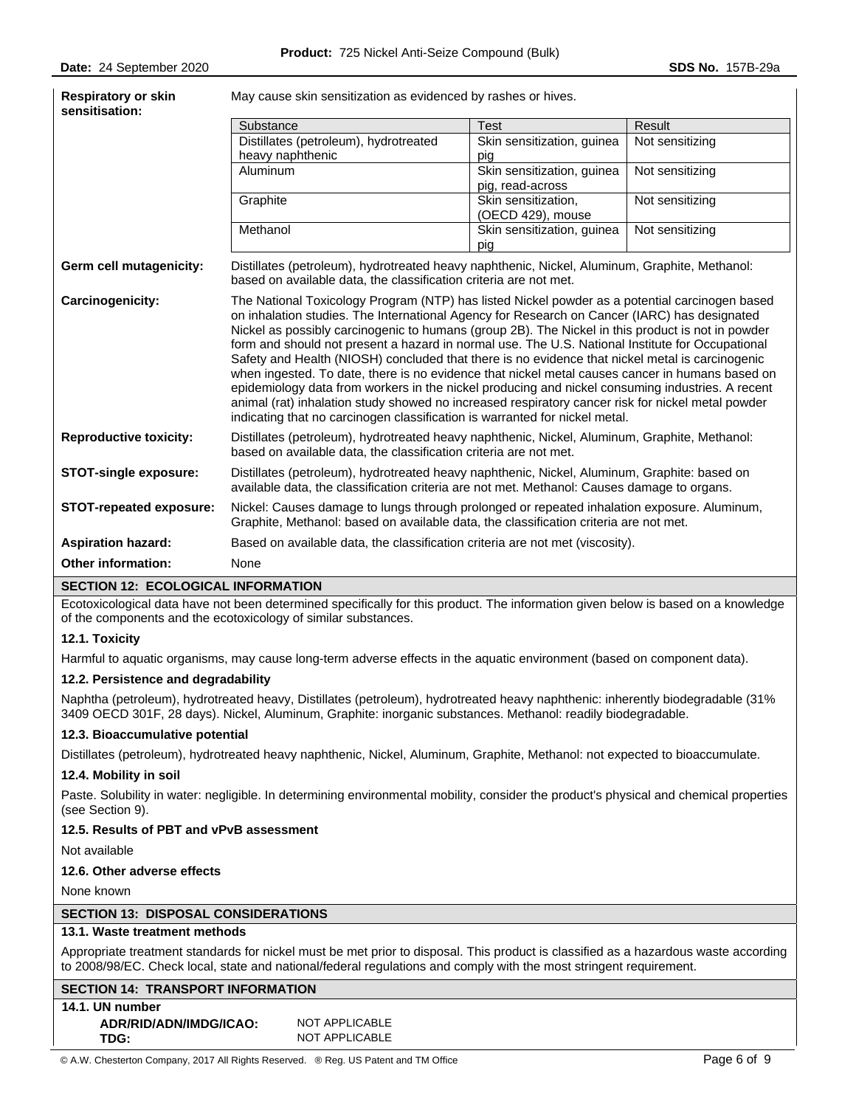| <b>Respiratory or skin</b><br>sensitisation: | May cause skin sensitization as evidenced by rashes or hives.                                                                                                                                                                                                                                                                                                                                                                                                                                                                                                                                                                                                                                                                                                                                                                                                                                         |                                                |                 |  |  |
|----------------------------------------------|-------------------------------------------------------------------------------------------------------------------------------------------------------------------------------------------------------------------------------------------------------------------------------------------------------------------------------------------------------------------------------------------------------------------------------------------------------------------------------------------------------------------------------------------------------------------------------------------------------------------------------------------------------------------------------------------------------------------------------------------------------------------------------------------------------------------------------------------------------------------------------------------------------|------------------------------------------------|-----------------|--|--|
|                                              | Substance                                                                                                                                                                                                                                                                                                                                                                                                                                                                                                                                                                                                                                                                                                                                                                                                                                                                                             | <b>Test</b>                                    | Result          |  |  |
|                                              | Distillates (petroleum), hydrotreated<br>heavy naphthenic                                                                                                                                                                                                                                                                                                                                                                                                                                                                                                                                                                                                                                                                                                                                                                                                                                             | Skin sensitization, guinea<br>pig              | Not sensitizing |  |  |
|                                              | Aluminum                                                                                                                                                                                                                                                                                                                                                                                                                                                                                                                                                                                                                                                                                                                                                                                                                                                                                              | Skin sensitization, guinea<br>pig, read-across | Not sensitizing |  |  |
|                                              | Graphite                                                                                                                                                                                                                                                                                                                                                                                                                                                                                                                                                                                                                                                                                                                                                                                                                                                                                              | Skin sensitization,<br>(OECD 429), mouse       | Not sensitizing |  |  |
|                                              | Methanol                                                                                                                                                                                                                                                                                                                                                                                                                                                                                                                                                                                                                                                                                                                                                                                                                                                                                              | Skin sensitization, guinea<br>pig              | Not sensitizing |  |  |
| Germ cell mutagenicity:                      | Distillates (petroleum), hydrotreated heavy naphthenic, Nickel, Aluminum, Graphite, Methanol:<br>based on available data, the classification criteria are not met.                                                                                                                                                                                                                                                                                                                                                                                                                                                                                                                                                                                                                                                                                                                                    |                                                |                 |  |  |
| Carcinogenicity:                             | The National Toxicology Program (NTP) has listed Nickel powder as a potential carcinogen based<br>on inhalation studies. The International Agency for Research on Cancer (IARC) has designated<br>Nickel as possibly carcinogenic to humans (group 2B). The Nickel in this product is not in powder<br>form and should not present a hazard in normal use. The U.S. National Institute for Occupational<br>Safety and Health (NIOSH) concluded that there is no evidence that nickel metal is carcinogenic<br>when ingested. To date, there is no evidence that nickel metal causes cancer in humans based on<br>epidemiology data from workers in the nickel producing and nickel consuming industries. A recent<br>animal (rat) inhalation study showed no increased respiratory cancer risk for nickel metal powder<br>indicating that no carcinogen classification is warranted for nickel metal. |                                                |                 |  |  |
| <b>Reproductive toxicity:</b>                | Distillates (petroleum), hydrotreated heavy naphthenic, Nickel, Aluminum, Graphite, Methanol:<br>based on available data, the classification criteria are not met.                                                                                                                                                                                                                                                                                                                                                                                                                                                                                                                                                                                                                                                                                                                                    |                                                |                 |  |  |
| <b>STOT-single exposure:</b>                 | Distillates (petroleum), hydrotreated heavy naphthenic, Nickel, Aluminum, Graphite: based on<br>available data, the classification criteria are not met. Methanol: Causes damage to organs.                                                                                                                                                                                                                                                                                                                                                                                                                                                                                                                                                                                                                                                                                                           |                                                |                 |  |  |
| STOT-repeated exposure:                      | Nickel: Causes damage to lungs through prolonged or repeated inhalation exposure. Aluminum,<br>Graphite, Methanol: based on available data, the classification criteria are not met.                                                                                                                                                                                                                                                                                                                                                                                                                                                                                                                                                                                                                                                                                                                  |                                                |                 |  |  |
| <b>Aspiration hazard:</b>                    | Based on available data, the classification criteria are not met (viscosity).                                                                                                                                                                                                                                                                                                                                                                                                                                                                                                                                                                                                                                                                                                                                                                                                                         |                                                |                 |  |  |
| Other information:                           | None                                                                                                                                                                                                                                                                                                                                                                                                                                                                                                                                                                                                                                                                                                                                                                                                                                                                                                  |                                                |                 |  |  |

#### **SECTION 12: ECOLOGICAL INFORMATION**

Ecotoxicological data have not been determined specifically for this product. The information given below is based on a knowledge of the components and the ecotoxicology of similar substances.

#### **12.1. Toxicity**

Harmful to aquatic organisms, may cause long-term adverse effects in the aquatic environment (based on component data).

#### **12.2. Persistence and degradability**

Naphtha (petroleum), hydrotreated heavy, Distillates (petroleum), hydrotreated heavy naphthenic: inherently biodegradable (31% 3409 OECD 301F, 28 days). Nickel, Aluminum, Graphite: inorganic substances. Methanol: readily biodegradable.

#### **12.3. Bioaccumulative potential**

Distillates (petroleum), hydrotreated heavy naphthenic, Nickel, Aluminum, Graphite, Methanol: not expected to bioaccumulate.

#### **12.4. Mobility in soil**

Paste. Solubility in water: negligible. In determining environmental mobility, consider the product's physical and chemical properties (see Section 9).

# **12.5. Results of PBT and vPvB assessment**

Not available

## **12.6. Other adverse effects**

None known

# **SECTION 13: DISPOSAL CONSIDERATIONS**

#### **13.1. Waste treatment methods**

Appropriate treatment standards for nickel must be met prior to disposal. This product is classified as a hazardous waste according to 2008/98/EC. Check local, state and national/federal regulations and comply with the most stringent requirement.

# **SECTION 14: TRANSPORT INFORMATION**

**14.1. UN number ADR/RID/ADN/IMDG/ICAO:** NOT APPLICABLE

**TDG:** NOT APPLICABLE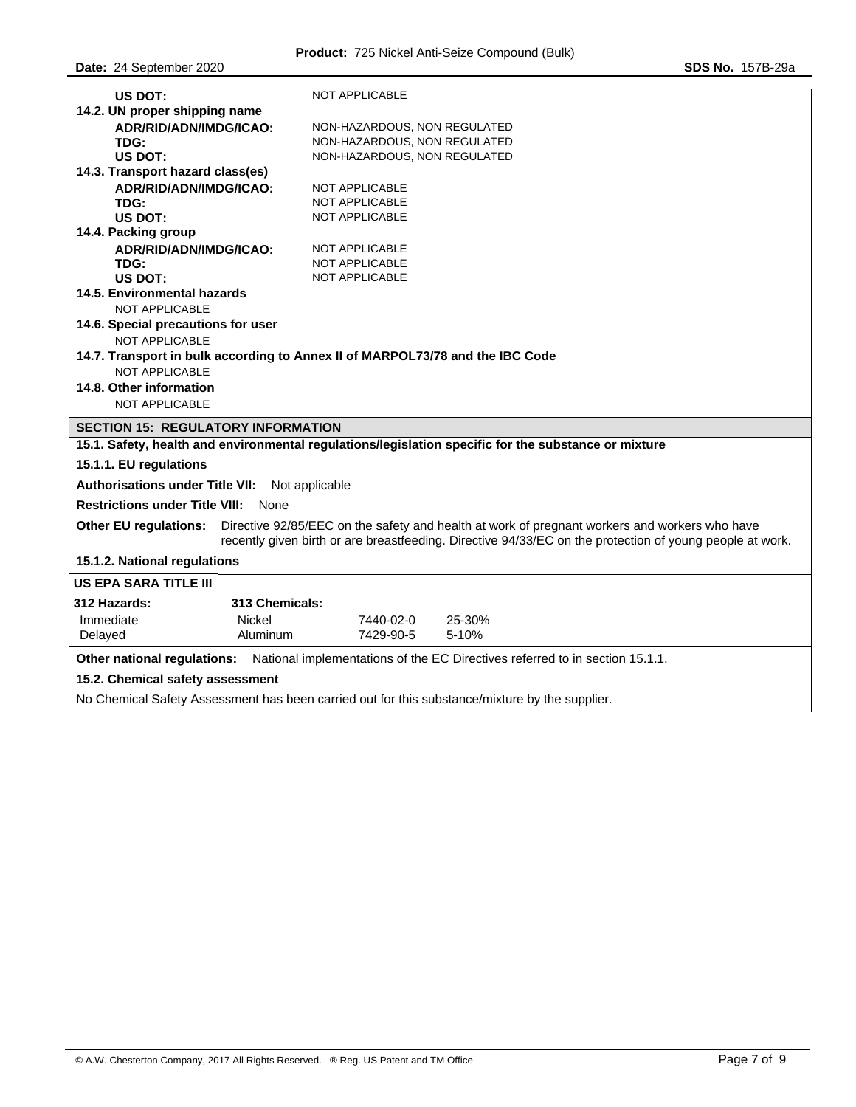| US DOT:                                                                                                                                                                                                                                   | <b>NOT APPLICABLE</b>                                                         |  |  |  |
|-------------------------------------------------------------------------------------------------------------------------------------------------------------------------------------------------------------------------------------------|-------------------------------------------------------------------------------|--|--|--|
| 14.2. UN proper shipping name                                                                                                                                                                                                             |                                                                               |  |  |  |
| ADR/RID/ADN/IMDG/ICAO:<br>TDG:                                                                                                                                                                                                            | NON-HAZARDOUS, NON REGULATED<br>NON-HAZARDOUS, NON REGULATED                  |  |  |  |
| US DOT:                                                                                                                                                                                                                                   | NON-HAZARDOUS, NON REGULATED                                                  |  |  |  |
| 14.3. Transport hazard class(es)                                                                                                                                                                                                          |                                                                               |  |  |  |
| ADR/RID/ADN/IMDG/ICAO:                                                                                                                                                                                                                    | <b>NOT APPLICABLE</b>                                                         |  |  |  |
| TDG:                                                                                                                                                                                                                                      | <b>NOT APPLICABLE</b>                                                         |  |  |  |
| US DOT:                                                                                                                                                                                                                                   | NOT APPLICABLE                                                                |  |  |  |
| 14.4. Packing group                                                                                                                                                                                                                       |                                                                               |  |  |  |
| ADR/RID/ADN/IMDG/ICAO:                                                                                                                                                                                                                    | <b>NOT APPLICABLE</b>                                                         |  |  |  |
| TDG:                                                                                                                                                                                                                                      | <b>NOT APPLICABLE</b>                                                         |  |  |  |
| US DOT:                                                                                                                                                                                                                                   | <b>NOT APPLICABLE</b>                                                         |  |  |  |
| 14.5. Environmental hazards                                                                                                                                                                                                               |                                                                               |  |  |  |
| NOT APPLICABLE                                                                                                                                                                                                                            |                                                                               |  |  |  |
| 14.6. Special precautions for user                                                                                                                                                                                                        |                                                                               |  |  |  |
| <b>NOT APPLICABLE</b>                                                                                                                                                                                                                     |                                                                               |  |  |  |
|                                                                                                                                                                                                                                           | 14.7. Transport in bulk according to Annex II of MARPOL73/78 and the IBC Code |  |  |  |
| <b>NOT APPLICABLE</b>                                                                                                                                                                                                                     |                                                                               |  |  |  |
| 14.8. Other information                                                                                                                                                                                                                   |                                                                               |  |  |  |
| <b>NOT APPLICABLE</b>                                                                                                                                                                                                                     |                                                                               |  |  |  |
| <b>SECTION 15: REGULATORY INFORMATION</b>                                                                                                                                                                                                 |                                                                               |  |  |  |
| 15.1. Safety, health and environmental regulations/legislation specific for the substance or mixture                                                                                                                                      |                                                                               |  |  |  |
| 15.1.1. EU regulations                                                                                                                                                                                                                    |                                                                               |  |  |  |
| <b>Authorisations under Title VII:</b>                                                                                                                                                                                                    | Not applicable                                                                |  |  |  |
| <b>Restrictions under Title VIII:</b><br><b>None</b>                                                                                                                                                                                      |                                                                               |  |  |  |
| Directive 92/85/EEC on the safety and health at work of pregnant workers and workers who have<br><b>Other EU regulations:</b><br>recently given birth or are breastfeeding. Directive 94/33/EC on the protection of young people at work. |                                                                               |  |  |  |
| 15.1.2. National regulations                                                                                                                                                                                                              |                                                                               |  |  |  |
| <b>US EPA SARA TITLE III</b>                                                                                                                                                                                                              |                                                                               |  |  |  |
| 312 Hazards:<br>313 Chemicals:                                                                                                                                                                                                            |                                                                               |  |  |  |
| Immediate<br><b>Nickel</b>                                                                                                                                                                                                                | 7440-02-0<br>25-30%                                                           |  |  |  |
| Delayed<br>Aluminum                                                                                                                                                                                                                       | 7429-90-5<br>5-10%                                                            |  |  |  |
| <b>Other national requiations:</b>                                                                                                                                                                                                        | National implementations of the EC Directives referred to in section 15.1.1.  |  |  |  |

# **15.2. Chemical safety assessment**

No Chemical Safety Assessment has been carried out for this substance/mixture by the supplier.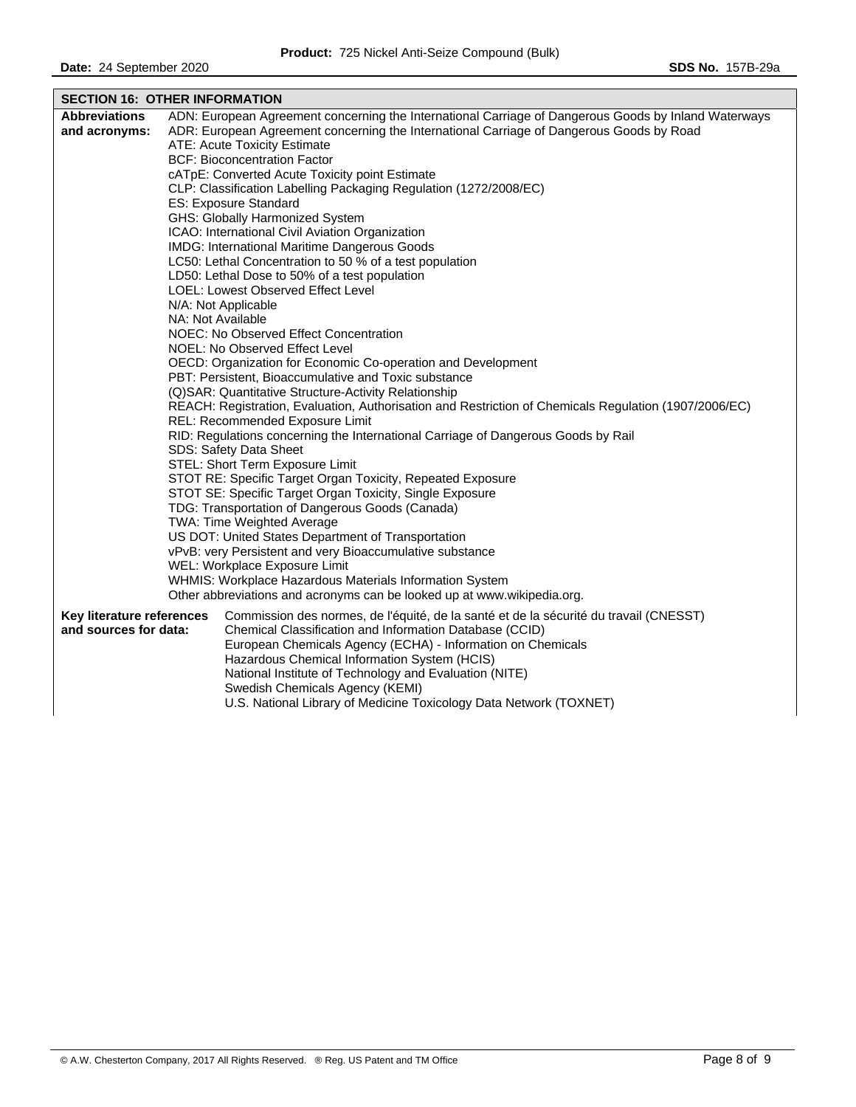|                                                            | <b>SECTION 16: OTHER INFORMATION</b>                                                                                                                                                                                                                            |  |  |  |
|------------------------------------------------------------|-----------------------------------------------------------------------------------------------------------------------------------------------------------------------------------------------------------------------------------------------------------------|--|--|--|
| <b>Abbreviations</b>                                       | ADN: European Agreement concerning the International Carriage of Dangerous Goods by Inland Waterways                                                                                                                                                            |  |  |  |
| and acronyms:                                              | ADR: European Agreement concerning the International Carriage of Dangerous Goods by Road                                                                                                                                                                        |  |  |  |
|                                                            | ATE: Acute Toxicity Estimate                                                                                                                                                                                                                                    |  |  |  |
|                                                            | <b>BCF: Bioconcentration Factor</b>                                                                                                                                                                                                                             |  |  |  |
|                                                            | cATpE: Converted Acute Toxicity point Estimate                                                                                                                                                                                                                  |  |  |  |
|                                                            | CLP: Classification Labelling Packaging Regulation (1272/2008/EC)                                                                                                                                                                                               |  |  |  |
|                                                            | ES: Exposure Standard                                                                                                                                                                                                                                           |  |  |  |
|                                                            | GHS: Globally Harmonized System                                                                                                                                                                                                                                 |  |  |  |
|                                                            | ICAO: International Civil Aviation Organization                                                                                                                                                                                                                 |  |  |  |
|                                                            | IMDG: International Maritime Dangerous Goods                                                                                                                                                                                                                    |  |  |  |
|                                                            | LC50: Lethal Concentration to 50 % of a test population                                                                                                                                                                                                         |  |  |  |
|                                                            | LD50: Lethal Dose to 50% of a test population                                                                                                                                                                                                                   |  |  |  |
|                                                            | LOEL: Lowest Observed Effect Level                                                                                                                                                                                                                              |  |  |  |
|                                                            | N/A: Not Applicable<br>NA: Not Available                                                                                                                                                                                                                        |  |  |  |
|                                                            | NOEC: No Observed Effect Concentration                                                                                                                                                                                                                          |  |  |  |
|                                                            | NOEL: No Observed Effect Level                                                                                                                                                                                                                                  |  |  |  |
|                                                            | OECD: Organization for Economic Co-operation and Development                                                                                                                                                                                                    |  |  |  |
|                                                            | PBT: Persistent, Bioaccumulative and Toxic substance                                                                                                                                                                                                            |  |  |  |
|                                                            | (Q)SAR: Quantitative Structure-Activity Relationship                                                                                                                                                                                                            |  |  |  |
|                                                            | REACH: Registration, Evaluation, Authorisation and Restriction of Chemicals Regulation (1907/2006/EC)                                                                                                                                                           |  |  |  |
|                                                            | REL: Recommended Exposure Limit                                                                                                                                                                                                                                 |  |  |  |
|                                                            | RID: Regulations concerning the International Carriage of Dangerous Goods by Rail                                                                                                                                                                               |  |  |  |
|                                                            | SDS: Safety Data Sheet                                                                                                                                                                                                                                          |  |  |  |
|                                                            | STEL: Short Term Exposure Limit                                                                                                                                                                                                                                 |  |  |  |
| STOT RE: Specific Target Organ Toxicity, Repeated Exposure |                                                                                                                                                                                                                                                                 |  |  |  |
|                                                            | STOT SE: Specific Target Organ Toxicity, Single Exposure                                                                                                                                                                                                        |  |  |  |
|                                                            | TDG: Transportation of Dangerous Goods (Canada)                                                                                                                                                                                                                 |  |  |  |
|                                                            | TWA: Time Weighted Average                                                                                                                                                                                                                                      |  |  |  |
|                                                            | US DOT: United States Department of Transportation                                                                                                                                                                                                              |  |  |  |
|                                                            | vPvB: very Persistent and very Bioaccumulative substance                                                                                                                                                                                                        |  |  |  |
|                                                            | WEL: Workplace Exposure Limit                                                                                                                                                                                                                                   |  |  |  |
|                                                            | WHMIS: Workplace Hazardous Materials Information System<br>Other abbreviations and acronyms can be looked up at www.wikipedia.org.                                                                                                                              |  |  |  |
| Key literature references<br>and sources for data:         | Commission des normes, de l'équité, de la santé et de la sécurité du travail (CNESST)<br>Chemical Classification and Information Database (CCID)<br>European Chemicals Agency (ECHA) - Information on Chemicals<br>Hazardous Chemical Information System (HCIS) |  |  |  |
|                                                            | National Institute of Technology and Evaluation (NITE)<br>Swedish Chemicals Agency (KEMI)<br>U.S. National Library of Medicine Toxicology Data Network (TOXNET)                                                                                                 |  |  |  |